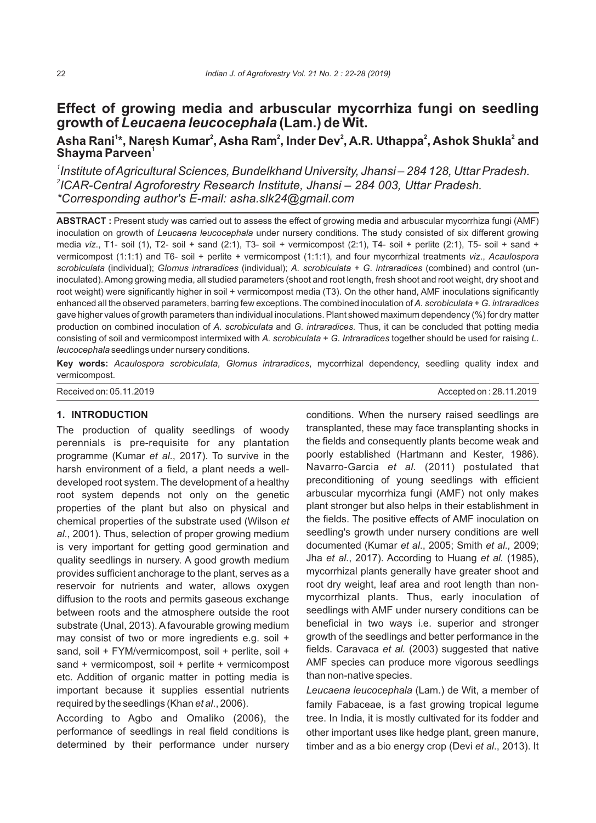# **Effect of growing media and arbuscular mycorrhiza fungi on seedling growth of** *Leucaena leucocephala* **(Lam.) de Wit.**

## **<sup>1</sup> <sup>2</sup> <sup>2</sup> <sup>2</sup> <sup>2</sup> <sup>2</sup> Asha Rani \*, Naresh Kumar , Asha Ram , Inder Dev , A.R. Uthappa , Ashok Shukla and <sup>1</sup> Shayma Parveen**

*1 Institute of Agricultural Sciences, Bundelkhand University, Jhansi – 284 128, Uttar Pradesh. 2 ICAR-Central Agroforestry Research Institute, Jhansi – 284 003, Uttar Pradesh. \*Corresponding author's E-mail: asha.slk24@gmail.com*

**ABSTRACT :** Present study was carried out to assess the effect of growing media and arbuscular mycorrhiza fungi (AMF) inoculation on growth of *Leucaena leucocephala* under nursery conditions. The study consisted of six different growing media *viz*., T1- soil (1), T2- soil + sand (2:1), T3- soil + vermicompost (2:1), T4- soil + perlite (2:1), T5- soil + sand + vermicompost (1:1:1) and T6- soil + perlite + vermicompost (1:1:1), and four mycorrhizal treatments *viz*., *Acaulospora scrobiculata* (individual); *Glomus intraradices* (individual); *A. scrobiculata* + *G. intraradices* (combined) and control (uninoculated). Among growing media, all studied parameters (shoot and root length, fresh shoot and root weight, dry shoot and root weight) were significantly higher in soil + vermicompost media (T3). On the other hand, AMF inoculations significantly enhanced all the observed parameters, barring few exceptions. The combined inoculation of *A. scrobiculata* + *G. intraradices*  gave higher values of growth parameters than individual inoculations. Plant showed maximum dependency (%) for dry matter production on combined inoculation of *A. scrobiculata* and *G. intraradices.* Thus, it can be concluded that potting media consisting of soil and vermicompost intermixed with *A. scrobiculata* + *G. Intraradices* together should be used for raising *L. leucocephala* seedlings under nursery conditions.

**Key words:** *Acaulospora scrobiculata, Glomus intraradices*, mycorrhizal dependency, seedling quality index and vermicompost.

| Received on: 05.11.2019 | Accepted on: 28.11.2019 |
|-------------------------|-------------------------|
|                         |                         |

## **1. INTRODUCTION**

The production of quality seedlings of woody perennials is pre-requisite for any plantation programme (Kumar *et al*., 2017). To survive in the harsh environment of a field, a plant needs a welldeveloped root system. The development of a healthy root system depends not only on the genetic properties of the plant but also on physical and chemical properties of the substrate used (Wilson *et al*., 2001). Thus, selection of proper growing medium is very important for getting good germination and quality seedlings in nursery. A good growth medium provides sufficient anchorage to the plant, serves as a reservoir for nutrients and water, allows oxygen diffusion to the roots and permits gaseous exchange between roots and the atmosphere outside the root substrate (Unal, 2013). A favourable growing medium may consist of two or more ingredients e.g. soil + sand, soil + FYM/vermicompost, soil + perlite, soil + sand + vermicompost, soil + perlite + vermicompost etc. Addition of organic matter in potting media is important because it supplies essential nutrients required by the seedlings (Khan *et al*., 2006).

According to Agbo and Omaliko (2006), the performance of seedlings in real field conditions is determined by their performance under nursery conditions. When the nursery raised seedlings are transplanted, these may face transplanting shocks in the fields and consequently plants become weak and poorly established (Hartmann and Kester, 1986). Navarro-Garcia *et al.* (2011) postulated that preconditioning of young seedlings with efficient arbuscular mycorrhiza fungi (AMF) not only makes plant stronger but also helps in their establishment in the fields. The positive effects of AMF inoculation on seedling's growth under nursery conditions are well documented (Kumar *et al*., 2005; Smith *et al.,* 2009; Jha *et al*., 2017). According to Huang *et al.* (1985), mycorrhizal plants generally have greater shoot and root dry weight, leaf area and root length than nonmycorrhizal plants. Thus, early inoculation of seedlings with AMF under nursery conditions can be beneficial in two ways i.e. superior and stronger growth of the seedlings and better performance in the fields. Caravaca *et al.* (2003) suggested that native AMF species can produce more vigorous seedlings than non-native species.

*Leucaena leucocephala* (Lam.) de Wit, a member of family Fabaceae, is a fast growing tropical legume tree. In India, it is mostly cultivated for its fodder and other important uses like hedge plant, green manure, timber and as a bio energy crop (Devi *et al*., 2013). It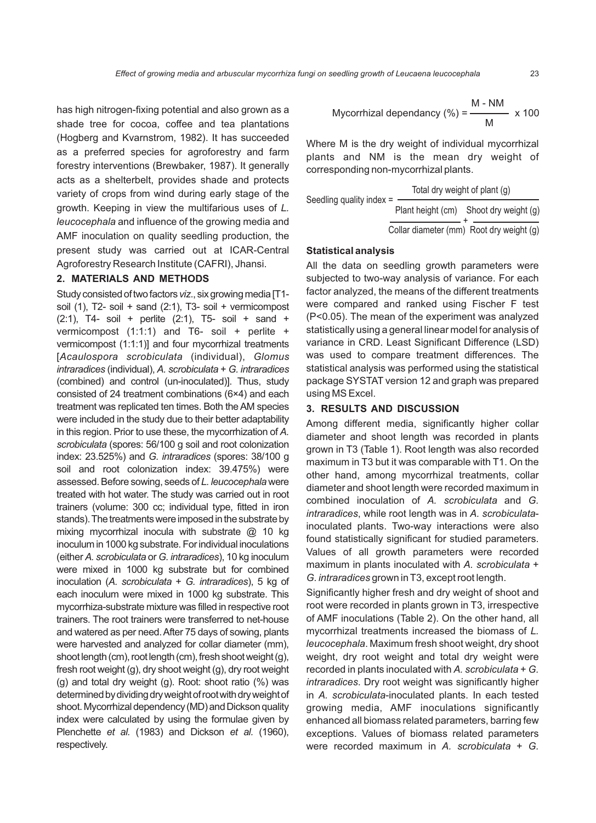has high nitrogen-fixing potential and also grown as a shade tree for cocoa, coffee and tea plantations (Hogberg and Kvarnstrom, 1982). It has succeeded as a preferred species for agroforestry and farm forestry interventions (Brewbaker, 1987). It generally acts as a shelterbelt, provides shade and protects variety of crops from wind during early stage of the growth. Keeping in view the multifarious uses of *L. leucocephala* and influence of the growing media and AMF inoculation on quality seedling production, the present study was carried out at ICAR-Central Agroforestry Research Institute (CAFRI), Jhansi.

### **2. MATERIALS AND METHODS**

Study consisted of two factors *viz.*, six growing media [T1soil (1), T2- soil + sand (2:1), T3- soil + vermicompost  $(2:1)$ , T4- soil + perlite  $(2:1)$ , T5- soil + sand + vermicompost (1:1:1) and T6- soil + perlite + vermicompost (1:1:1)] and four mycorrhizal treatments [*Acaulospora scrobiculata* (individual), *Glomus intraradices* (individual), *A. scrobiculata* + *G.intraradices* (combined) and control (un-inoculated)]. Thus, study consisted of 24 treatment combinations (6×4) and each treatment was replicated ten times. Both the AM species were included in the study due to their better adaptability in this region. Prior to use these, the mycorrhization of A. *scrobiculata* (spores: 56/100 g soil and root colonization index: 23.525%) and *G. intraradices* (spores: 38/100 g soil and root colonization index: 39.475%) were assessed. Before sowing, seeds of L. leucocephala were treated with hot water. The study was carried out in root trainers (volume: 300 cc; individual type, fitted in iron stands). The treatments were imposed in the substrate by mixing mycorrhizal inocula with substrate @ 10 kg inoculum in 1000 kg substrate. For individual inoculations (either *A. scrobiculata*or *G.intraradices*),10kginoculum were mixed in 1000 kg substrate but for combined inoculation (*A. scrobiculata* + *G. intraradices*), 5 kg of each inoculum were mixed in 1000 kg substrate. This mycorrhiza-substrate mixture was filled in respective root trainers. The root trainers were transferred to net-house and watered as per need. After 75 days of sowing, plants were harvested and analyzed for collar diameter (mm), shoot length (cm), root length (cm), fresh shoot weight (g), fresh root weight (g), dry shoot weight (g), dry root weight (g) and total dry weight (g). Root: shoot ratio (%) was determined by dividing dry weight of root with dry weight of shoot. Mycorrhizal dependency (MD) and Dickson quality index were calculated by using the formulae given by Plenchette *et al.* (1983) and Dickson *et al.* (1960), respectively.

Mycorrhizal dependancy (%) = 
$$
\frac{M - NM}{M} \times 100
$$

Where M is the dry weight of individual mycorrhizal plants and NM is the mean dry weight of corresponding non-mycorrhizal plants.

| Seedling quality index $=$ | Total dry weight of plant (g) |                                          |  |  |
|----------------------------|-------------------------------|------------------------------------------|--|--|
|                            |                               | Plant height (cm) Shoot dry weight (g)   |  |  |
|                            |                               | Collar diameter (mm) Root dry weight (g) |  |  |

#### **Statistical analysis**

All the data on seedling growth parameters were subjected to two-way analysis of variance. For each factor analyzed, the means of the different treatments were compared and ranked using Fischer F test (P<0.05). The mean of the experiment was analyzed statistically using a general linear model for analysis of variance in CRD. Least Significant Difference (LSD) was used to compare treatment differences. The statistical analysis was performed using the statistical package SYSTAT version 12 and graph was prepared using MS Excel.

#### **3. RESULTS AND DISCUSSION**

Among different media, significantly higher collar diameter and shoot length was recorded in plants grown in T3 (Table 1). Root length was also recorded maximum in T3 but it was comparable with T1. On the other hand, among mycorrhizal treatments, collar diameter and shoot length were recorded maximum in combined inoculation of *A. scrobiculata* and *G. intraradices*, while root length was in *A. scrobiculata*inoculated plants. Two-way interactions were also found statistically significant for studied parameters. Values of all growth parameters were recorded maximum in plants inoculated with *A. scrobiculata* + *G. intraradices*grown in T3, except root length.

Significantly higher fresh and dry weight of shoot and root were recorded in plants grown in T3, irrespective of AMF inoculations (Table 2). On the other hand, all mycorrhizal treatments increased the biomass of *L. leucocephala*. Maximum fresh shoot weight, dry shoot weight, dry root weight and total dry weight were recorded in plants inoculated with *A. scrobiculata* + *G. intraradices*. Dry root weight was significantly higher in *A. scrobiculata*-inoculated plants. In each tested growing media, AMF inoculations significantly enhanced all biomass related parameters, barring few exceptions. Values of biomass related parameters were recorded maximum in *A. scrobiculata* + *G.*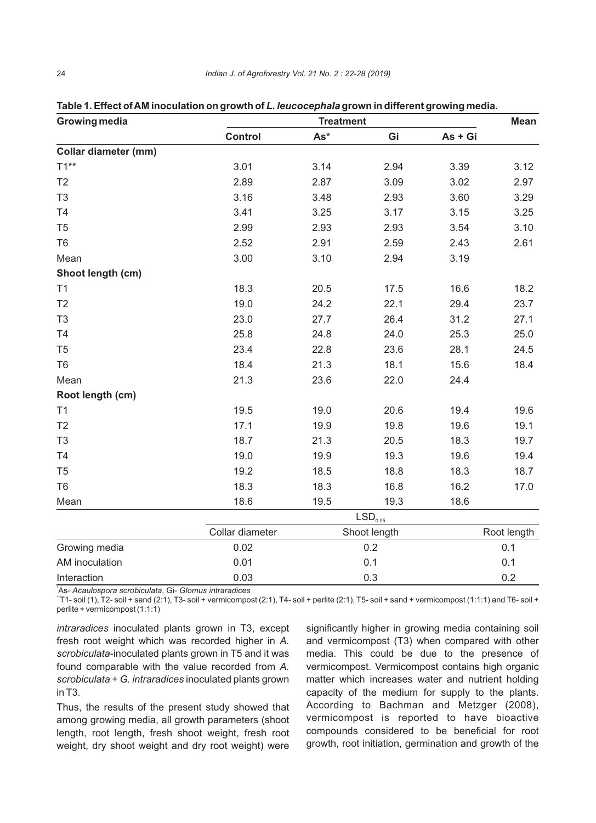| <b>Growing media</b> | <b>Treatment</b>      |              |      |         | <b>Mean</b> |
|----------------------|-----------------------|--------------|------|---------|-------------|
|                      | <b>Control</b>        | $As*$        | Gi   | As + Gi |             |
| Collar diameter (mm) |                       |              |      |         |             |
| $T1^{**}$            | 3.01                  | 3.14         | 2.94 | 3.39    | 3.12        |
| T <sub>2</sub>       | 2.89                  | 2.87         | 3.09 | 3.02    | 2.97        |
| T <sub>3</sub>       | 3.16                  | 3.48         | 2.93 | 3.60    | 3.29        |
| T4                   | 3.41                  | 3.25         | 3.17 | 3.15    | 3.25        |
| T <sub>5</sub>       | 2.99                  | 2.93         | 2.93 | 3.54    | 3.10        |
| T <sub>6</sub>       | 2.52                  | 2.91         | 2.59 | 2.43    | 2.61        |
| Mean                 | 3.00                  | 3.10         | 2.94 | 3.19    |             |
| Shoot length (cm)    |                       |              |      |         |             |
| T1                   | 18.3                  | 20.5         | 17.5 | 16.6    | 18.2        |
| T <sub>2</sub>       | 19.0                  | 24.2         | 22.1 | 29.4    | 23.7        |
| T <sub>3</sub>       | 23.0                  | 27.7         | 26.4 | 31.2    | 27.1        |
| T <sub>4</sub>       | 25.8                  | 24.8         | 24.0 | 25.3    | 25.0        |
| T <sub>5</sub>       | 23.4                  | 22.8         | 23.6 | 28.1    | 24.5        |
| T <sub>6</sub>       | 18.4                  | 21.3         | 18.1 | 15.6    | 18.4        |
| Mean                 | 21.3                  | 23.6         | 22.0 | 24.4    |             |
| Root length (cm)     |                       |              |      |         |             |
| T1                   | 19.5                  | 19.0         | 20.6 | 19.4    | 19.6        |
| T2                   | 17.1                  | 19.9         | 19.8 | 19.6    | 19.1        |
| T <sub>3</sub>       | 18.7                  | 21.3         | 20.5 | 18.3    | 19.7        |
| T <sub>4</sub>       | 19.0                  | 19.9         | 19.3 | 19.6    | 19.4        |
| T <sub>5</sub>       | 19.2                  | 18.5         | 18.8 | 18.3    | 18.7        |
| T <sub>6</sub>       | 18.3                  | 18.3         | 16.8 | 16.2    | 17.0        |
| Mean                 | 18.6                  | 19.5         | 19.3 | 18.6    |             |
|                      | $\mathsf{LSD}_{0.05}$ |              |      |         |             |
|                      | Collar diameter       | Shoot length |      |         | Root length |
| Growing media        | 0.02                  | 0.2          |      | 0.1     |             |
| AM inoculation       | 0.01                  | 0.1          |      | 0.1     |             |
| Interaction          | 0.03                  |              | 0.3  |         | 0.2         |

**Table 1. Effect of AM inoculation on growth of** *L. leucocephala* **grown in different growing media.**

\*As- *Acaulospora scrobiculata*, Gi- *Glomus intraradices*

 $^+$ T1- soil (1), T2- soil + sand (2:1), T3- soil + vermicompost (2:1), T4- soil + perlite (2:1), T5- soil + sand + vermicompost (1:1:1) and T6- soil + perlite + vermicompost (1:1:1)

*intraradices* inoculated plants grown in T3, except fresh root weight which was recorded higher in *A. scrobiculata*-inoculated plants grown in T5 and it was found comparable with the value recorded from *A. scrobiculata* + *G. intraradices* inoculated plants grown in T3.

Thus, the results of the present study showed that among growing media, all growth parameters (shoot length, root length, fresh shoot weight, fresh root weight, dry shoot weight and dry root weight) were

significantly higher in growing media containing soil and vermicompost (T3) when compared with other media. This could be due to the presence of vermicompost. Vermicompost contains high organic matter which increases water and nutrient holding capacity of the medium for supply to the plants. According to Bachman and Metzger (2008), vermicompost is reported to have bioactive compounds considered to be beneficial for root growth, root initiation, germination and growth of the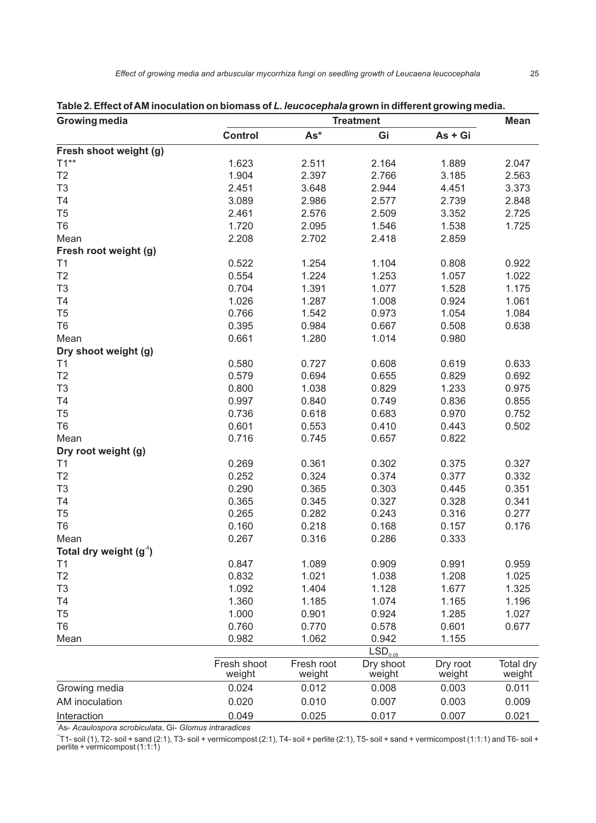| <b>Growing media</b>     | <b>Treatment</b>      |                      |                     |                    | <b>Mean</b>         |
|--------------------------|-----------------------|----------------------|---------------------|--------------------|---------------------|
|                          | <b>Control</b>        | $As*$                | Gi                  | As + Gi            |                     |
| Fresh shoot weight (g)   |                       |                      |                     |                    |                     |
| $T1**$                   | 1.623                 | 2.511                | 2.164               | 1.889              | 2.047               |
| T <sub>2</sub>           | 1.904                 | 2.397                | 2.766               | 3.185              | 2.563               |
| T <sub>3</sub>           | 2.451                 | 3.648                | 2.944               | 4.451              | 3.373               |
| T4                       | 3.089                 | 2.986                | 2.577               | 2.739              | 2.848               |
| T <sub>5</sub>           | 2.461                 | 2.576                | 2.509               | 3.352              | 2.725               |
| T <sub>6</sub>           | 1.720                 | 2.095                | 1.546               | 1.538              | 1.725               |
| Mean                     | 2.208                 | 2.702                | 2.418               | 2.859              |                     |
| Fresh root weight (g)    |                       |                      |                     |                    |                     |
| T <sub>1</sub>           | 0.522                 | 1.254                | 1.104               | 0.808              | 0.922               |
| T <sub>2</sub>           | 0.554                 | 1.224                | 1.253               | 1.057              | 1.022               |
| T <sub>3</sub>           | 0.704                 | 1.391                | 1.077               | 1.528              | 1.175               |
| T4                       | 1.026                 | 1.287                | 1.008               | 0.924              | 1.061               |
| T <sub>5</sub>           | 0.766                 | 1.542                | 0.973               | 1.054              | 1.084               |
| T <sub>6</sub>           | 0.395                 | 0.984                | 0.667               | 0.508              | 0.638               |
| Mean                     | 0.661                 | 1.280                | 1.014               | 0.980              |                     |
| Dry shoot weight (g)     |                       |                      |                     |                    |                     |
| T1                       | 0.580                 | 0.727                | 0.608               | 0.619              | 0.633               |
| T <sub>2</sub>           | 0.579                 | 0.694                | 0.655               | 0.829              | 0.692               |
| T <sub>3</sub>           | 0.800                 | 1.038                | 0.829               | 1.233              | 0.975               |
| T4                       | 0.997                 | 0.840                | 0.749               | 0.836              | 0.855               |
| T <sub>5</sub>           | 0.736                 | 0.618                | 0.683               | 0.970              | 0.752               |
| T <sub>6</sub>           | 0.601                 | 0.553                | 0.410               | 0.443              | 0.502               |
| Mean                     | 0.716                 | 0.745                | 0.657               | 0.822              |                     |
| Dry root weight (g)      |                       |                      |                     |                    |                     |
| T1                       | 0.269                 | 0.361                | 0.302               | 0.375              | 0.327               |
| T <sub>2</sub>           | 0.252                 | 0.324                | 0.374               | 0.377              | 0.332               |
| T <sub>3</sub>           | 0.290                 | 0.365                | 0.303               | 0.445              | 0.351               |
| T4                       | 0.365                 | 0.345                | 0.327               | 0.328              | 0.341               |
| T <sub>5</sub>           |                       |                      |                     |                    |                     |
|                          | 0.265                 | 0.282                | 0.243               | 0.316              | 0.277               |
| T <sub>6</sub>           | 0.160                 | 0.218                | 0.168               | 0.157              | 0.176               |
| Mean                     | 0.267                 | 0.316                | 0.286               | 0.333              |                     |
| Total dry weight $(g-1)$ |                       |                      |                     |                    |                     |
| T1                       | 0.847                 | 1.089                | 0.909               | 0.991              | 0.959               |
| T <sub>2</sub>           | 0.832                 | 1.021                | 1.038               | 1.208              | 1.025               |
| T <sub>3</sub>           | 1.092                 | 1.404                | 1.128               | 1.677              | 1.325               |
| T4                       | 1.360                 | 1.185                | 1.074               | 1.165              | 1.196               |
| T <sub>5</sub>           | 1.000                 | 0.901                | 0.924               | 1.285              | 1.027               |
| T <sub>6</sub>           | 0.760                 | 0.770                | 0.578               | 0.601              | 0.677               |
| Mean                     | 0.982                 | 1.062                | 0.942               | 1.155              |                     |
|                          |                       |                      | LSD <sub>0.05</sub> |                    |                     |
|                          | Fresh shoot<br>weight | Fresh root<br>weight | Dry shoot<br>weight | Dry root<br>weight | Total dry<br>weight |
| Growing media            | 0.024                 | 0.012                | 0.008               | 0.003              | 0.011               |
| AM inoculation           | 0.020                 | 0.010                | 0.007               | 0.003              | 0.009               |
| Interaction              | 0.049                 | 0.025                | 0.017               | 0.007              | 0.021               |

**Table 2. Effect of AM inoculation on biomass of** *L. leucocephala* **grown in different growing media.**

\*As- *Acaulospora scrobiculata*, Gi- *Glomus intraradices*

 $\mathrm{``T1}\text{-}$  soil (1), T2- soil + sand (2:1), T3- soil + vermicompost (2:1), T4- soil + perlite (2:1), T5- soil + sand + vermicompost (1:1:1) and T6- soil +<br>perlite + vermicompost (1:1:1)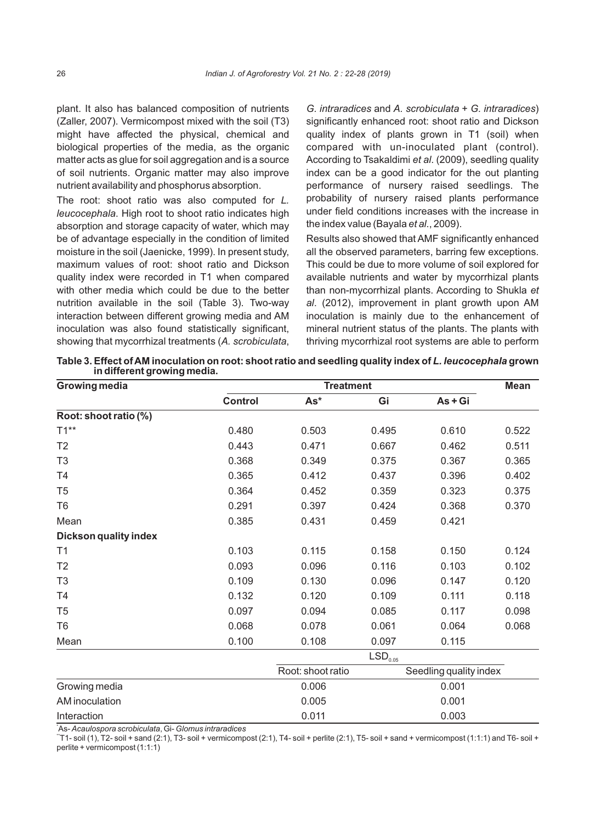plant. It also has balanced composition of nutrients (Zaller, 2007). Vermicompost mixed with the soil (T3) might have affected the physical, chemical and biological properties of the media, as the organic matter acts as glue for soil aggregation and is a source of soil nutrients. Organic matter may also improve nutrient availability and phosphorus absorption.

The root: shoot ratio was also computed for *L. leucocephala*. High root to shoot ratio indicates high absorption and storage capacity of water, which may be of advantage especially in the condition of limited moisture in the soil (Jaenicke, 1999). In present study, maximum values of root: shoot ratio and Dickson quality index were recorded in T1 when compared with other media which could be due to the better nutrition available in the soil (Table 3). Two-way interaction between different growing media and AM inoculation was also found statistically significant, showing that mycorrhizal treatments (*A. scrobiculata*,

*G. intraradices* and *A. scrobiculata* + *G. intraradices*) significantly enhanced root: shoot ratio and Dickson quality index of plants grown in T1 (soil) when compared with un-inoculated plant (control). According to Tsakaldimi *et al*. (2009), seedling quality index can be a good indicator for the out planting performance of nursery raised seedlings. The probability of nursery raised plants performance under field conditions increases with the increase in the index value (Bayala *et al*., 2009).

Results also showed that AMF significantly enhanced all the observed parameters, barring few exceptions. This could be due to more volume of soil explored for available nutrients and water by mycorrhizal plants than non-mycorrhizal plants. According to Shukla *et al*. (2012), improvement in plant growth upon AM inoculation is mainly due to the enhancement of mineral nutrient status of the plants. The plants with thriving mycorrhizal root systems are able to perform

**Table 3. Effect of AM inoculation on root: shoot ratio and seedling quality index of** *L. leucocephala* **grown in different growing media.**

| Growing media                | <b>Treatment</b> |                   |                     |                        |       |
|------------------------------|------------------|-------------------|---------------------|------------------------|-------|
|                              | <b>Control</b>   | $As*$             | Gi                  | $As + Gi$              |       |
| Root: shoot ratio (%)        |                  |                   |                     |                        |       |
| $T1***$                      | 0.480            | 0.503             | 0.495               | 0.610                  | 0.522 |
| T <sub>2</sub>               | 0.443            | 0.471             | 0.667               | 0.462                  | 0.511 |
| T <sub>3</sub>               | 0.368            | 0.349             | 0.375               | 0.367                  | 0.365 |
| T <sub>4</sub>               | 0.365            | 0.412             | 0.437               | 0.396                  | 0.402 |
| T <sub>5</sub>               | 0.364            | 0.452             | 0.359               | 0.323                  | 0.375 |
| T <sub>6</sub>               | 0.291            | 0.397             | 0.424               | 0.368                  | 0.370 |
| Mean                         | 0.385            | 0.431             | 0.459               | 0.421                  |       |
| <b>Dickson quality index</b> |                  |                   |                     |                        |       |
| T1                           | 0.103            | 0.115             | 0.158               | 0.150                  | 0.124 |
| T <sub>2</sub>               | 0.093            | 0.096             | 0.116               | 0.103                  | 0.102 |
| T <sub>3</sub>               | 0.109            | 0.130             | 0.096               | 0.147                  | 0.120 |
| <b>T4</b>                    | 0.132            | 0.120             | 0.109               | 0.111                  | 0.118 |
| T <sub>5</sub>               | 0.097            | 0.094             | 0.085               | 0.117                  | 0.098 |
| T <sub>6</sub>               | 0.068            | 0.078             | 0.061               | 0.064                  | 0.068 |
| Mean                         | 0.100            | 0.108             | 0.097               | 0.115                  |       |
|                              |                  |                   | LSD <sub>0.05</sub> |                        |       |
|                              |                  | Root: shoot ratio |                     | Seedling quality index |       |
| Growing media                |                  | 0.006             |                     | 0.001                  |       |
| AM inoculation               |                  | 0.005             |                     | 0.001                  |       |
| Interaction                  |                  | 0.011             |                     | 0.003                  |       |

\*As- *Acaulospora scrobiculata*, Gi- *Glomus intraradices*

 $T$ 1- soil (1), T2- soil + sand (2:1), T3- soil + vermicompost (2:1), T4- soil + perlite (2:1), T5- soil + sand + vermicompost (1:1:1) and T6- soil + perlite + vermicompost (1:1:1)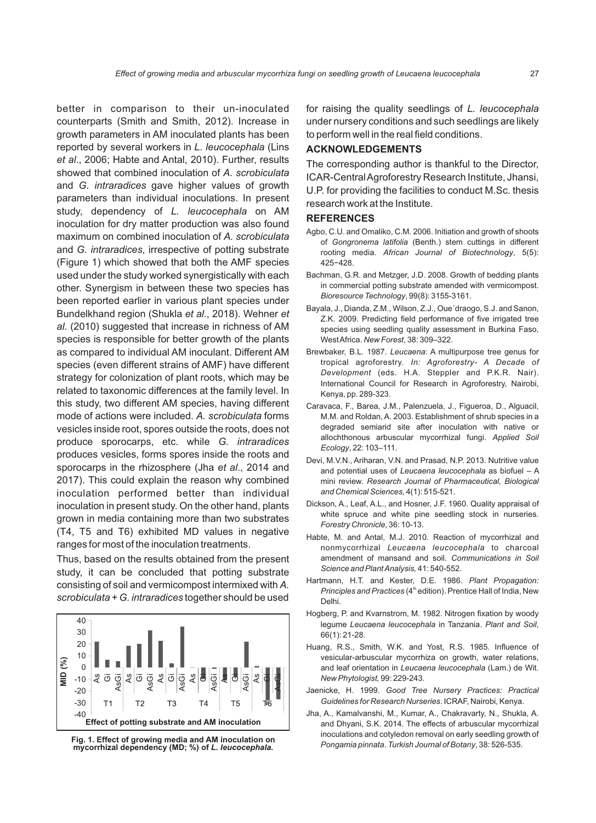better in comparison to their un-inoculated counterparts (Smith and Smith, 2012). Increase in growth parameters in AM inoculated plants has been reported by several workers in *L. leucocephala* (Lins *et al*., 2006; Habte and Antal, 2010). Further, results showed that combined inoculation of *A. scrobiculata* and *G. intraradices* gave higher values of growth parameters than individual inoculations. In present study, dependency of *L. leucocephala* on AM inoculation for dry matter production was also found maximum on combined inoculation of *A. scrobiculata* and *G. intraradices*, irrespective of potting substrate (Figure 1) which showed that both the AMF species used under the study worked synergistically with each other. Synergism in between these two species has been reported earlier in various plant species under Bundelkhand region (Shukla *et al*., 2018). Wehner *et al*. (2010) suggested that increase in richness of AM species is responsible for better growth of the plants as compared to individual AM inoculant. Different AM species (even different strains of AMF) have different strategy for colonization of plant roots, which may be related to taxonomic differences at the family level. In this study, two different AM species, having different mode of actions were included. *A. scrobiculata* forms vesicles inside root, spores outside the roots, does not produce sporocarps, etc. while *G. intraradices* produces vesicles, forms spores inside the roots and sporocarps in the rhizosphere (Jha *et al*., 2014 and 2017). This could explain the reason why combined inoculation performed better than individual inoculation in present study. On the other hand, plants grown in media containing more than two substrates (T4, T5 and T6) exhibited MD values in negative ranges for most of the inoculation treatments.

Thus, based on the results obtained from the present study, it can be concluded that potting substrate consisting of soil and vermicompost intermixed with *A. scrobiculata* + *G. intraradices* together should be used





for raising the quality seedlings of *L. leucocephala* under nursery conditions and such seedlings are likely to perform well in the real field conditions.

## **ACKNOWLEDGEMENTS**

The corresponding author is thankful to the Director, ICAR-Central Agroforestry Research Institute, Jhansi, U.P. for providing the facilities to conduct M.Sc. thesis research work at the Institute.

#### **REFERENCES**

- Agbo, C.U. and Omaliko, C.M. 2006. Initiation and growth of shoots of *Gongronema latifolia* (Benth.) stem cuttings in different rooting media. *African Journal of Biotechnology*, 5(5): 425−428.
- Bachman, G.R. and Metzger, J.D. 2008. Growth of bedding plants in commercial potting substrate amended with vermicompost. *Bioresource Technology*, 99(8): 3155-3161.
- Bayala, J., Dianda, Z.M., Wilson, Z.J., Oue´draogo, S.J. and Sanon, Z.K. 2009. Predicting field performance of five irrigated tree species using seedling quality assessment in Burkina Faso, West Africa. *New Forest*, 38: 309–322.
- Brewbaker, B.L. 1987. *Leucaena*: A multipurpose tree genus for tropical agroforestry. *In: Agroforestry- A Decade of Development* (eds. H.A. Steppler and P.K.R. Nair). International Council for Research in Agroforestry, Nairobi, Kenya, pp. 289-323.
- Caravaca, F., Barea, J.M., Palenzuela, J., Figueroa, D., Alguacil, M.M. and Roldan, A. 2003. Establishment of shrub species in a degraded semiarid site after inoculation with native or allochthonous arbuscular mycorrhizal fungi. *Applied Soil Ecology*, 22: 103–111.
- Devi, M.V.N., Ariharan, V.N. and Prasad, N.P. 2013. Nutritive value and potential uses of *Leucaena leucocephala* as biofuel – A mini review. *Research Journal of Pharmaceutical, Biological and Chemical Sciences,* 4(1): 515-521.
- Dickson, A., Leaf, A.L., and Hosner, J.F. 1960. Quality appraisal of white spruce and white pine seedling stock in nurseries. *Forestry Chronicle*, 36: 10-13.
- Habte, M. and Antal, M.J. 2010. Reaction of mycorrhizal and nonmycorrhizal *Leucaena leucocephala* to charcoal amendment of mansand and soil. *Communications in Soil Science and Plant Analysis,* 41: 540-552.
- Hartmann, H.T. and Kester, D.E. 1986. *Plant Propagation: Principles and Practices* (4<sup>th</sup> edition). Prentice Hall of India, New Delhi.
- Hogberg, P. and Kvarnstrom, M. 1982. Nitrogen fixation by woody legume *Leucaena leucocephala* in Tanzania. *Plant and Soil*, 66(1): 21-28.
- Huang, R.S., Smith, W.K. and Yost, R.S. 1985. Influence of vesicular-arbuscular mycorrhiza on growth, water relations, and leaf orientation in *Leucaena leucocephala* (Lam.) de Wit. *New Phytologist,* 99: 229-243.
- Jaenicke, H. 1999. *Good Tree Nursery Practices: Practical Guidelines for Research Nurseries*. ICRAF, Nairobi, Kenya.
- Jha, A., Kamalvanshi, M., Kumar, A., Chakravarty, N., Shukla, A. and Dhyani, S.K. 2014. The effects of arbuscular mycorrhizal inoculations and cotyledon removal on early seedling growth of *Pongamia pinnata*. *Turkish Journal of Botany*, 38: 526-535. **Fig. 1. Effect of growing media and AM inoculation on**